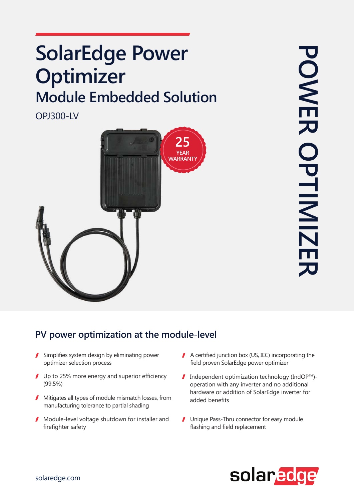## **SolarEdge Power Optimizer Module Embedded Solution**

**OPJ300-LV** 



## PV power optimization at the module-level

- $\blacksquare$  Simplifies system design by eliminating power optimizer selection process
- $\blacksquare$  Up to 25% more energy and superior efficiency (99.5%)
- $\blacksquare$  Mitigates all types of module mismatch losses, from manufacturing tolerance to partial shading
- $\blacksquare$  Module-level voltage shutdown for installer and firefighter safety
- $\blacksquare$  A certified junction box (US, IEC) incorporating the field proven SolarEdge power optimizer
- $\blacksquare$  Independent optimization technology (IndOP<sup>™</sup>)operation with any inverter and no additional hardware or addition of SolarEdge inverter for added benefits
- **J** Unique Pass-Thru connector for easy module flashing and field replacement

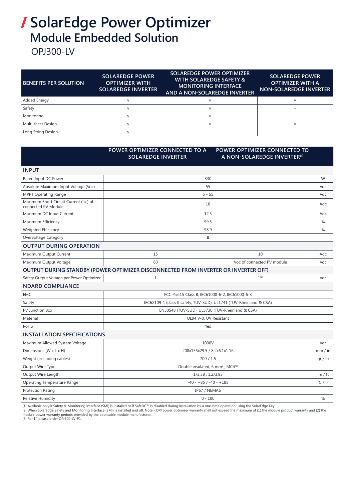## **/ SolarEdge Power Optimizer Module Embedded Solution**

**OPJ300-LV** 

| <b>BENEFITS PER SOLUTION</b> | <b>SOLAREDGE POWER</b><br><b>OPTIMIZER WITH</b><br><b>SOLAREDGE INVERTER</b> | <b>SOLAREDGE POWER OPTIMIZER</b><br><b>WITH SOLAREDGE SAFETY &amp;</b><br><b>MONITORING INTERFACE</b><br>AND A NON-SOLAREDGE INVERTER | <b>SOLAREDGE POWER</b><br><b>OPTIMIZER WITH A</b><br><b>NON-SOLAREDGE INVERTER</b> |
|------------------------------|------------------------------------------------------------------------------|---------------------------------------------------------------------------------------------------------------------------------------|------------------------------------------------------------------------------------|
| Added Energy                 |                                                                              |                                                                                                                                       |                                                                                    |
| Safety                       |                                                                              |                                                                                                                                       |                                                                                    |
| Monitoring                   |                                                                              |                                                                                                                                       |                                                                                    |
| Multi-facet Design           |                                                                              |                                                                                                                                       |                                                                                    |
| Long String Design           |                                                                              |                                                                                                                                       |                                                                                    |

|                                                               | POWER OPTIMIZER CONNECTED TO A<br><b>SOLAREDGE INVERTER</b>                        | POWER OPTIMIZER CONNECTED TO<br>A NON-SOLAREDGE INVERTER <sup>(1)</sup> |     |
|---------------------------------------------------------------|------------------------------------------------------------------------------------|-------------------------------------------------------------------------|-----|
| <b>INPUT</b>                                                  |                                                                                    |                                                                         |     |
| Rated Input DC Power                                          | 330                                                                                |                                                                         | W   |
| Absolute Maximum Input Voltage (Voc)                          | 55                                                                                 |                                                                         | Vdc |
| MPPT Operating Range                                          | $5 - 55$                                                                           |                                                                         | Vdc |
| Maximum Short Circuit Current (Isc) of<br>connected PV Module | 10                                                                                 |                                                                         | Adc |
| Maximum DC Input Current                                      | 12.5                                                                               |                                                                         | Adc |
| Maximum Efficiency                                            | 99.5                                                                               |                                                                         | %   |
| Weighted Efficiency                                           | 98.9                                                                               |                                                                         | %   |
| Overvoltage Category                                          | $\rm II$                                                                           |                                                                         |     |
| <b>OUTPUT DURING OPERATION</b>                                |                                                                                    |                                                                         |     |
| Maximum Output Current                                        | 15                                                                                 | 10                                                                      | Adc |
| Maximum Output Voltage                                        | 60                                                                                 | Voc of connected PV module                                              | Vdc |
|                                                               | OUTPUT DURING STANDBY (POWER OPTIMIZER DISCONNECTED FROM INVERTER OR INVERTER OFF) |                                                                         |     |
| Safety Output Voltage per Power Optimizer                     | 1                                                                                  | $1^{(2)}$                                                               | Vdc |
| <b>NDARD COMPLIANCE</b>                                       |                                                                                    |                                                                         |     |
| <b>EMC</b>                                                    | FCC Part15 Class B, IEC61000-6-2, IEC61000-6-3                                     |                                                                         |     |
| Safety                                                        | IEC62109-1 (class II safety, TUV-SUD), UL1741 (TUV-Rheinland & CSA)                |                                                                         |     |
| PV Junction Box                                               | EN50548 (TUV-SUD), UL3730 (TUV-Rheinland & CSA)                                    |                                                                         |     |
| Material                                                      | UL94 V-0, UV Resistant                                                             |                                                                         |     |
| <b>RoHS</b>                                                   | Yes                                                                                |                                                                         |     |
| <b>INSTALLATION SPECIFICATIONS</b>                            |                                                                                    |                                                                         |     |
| Maximum Allowed System Voltage                                | 1000V                                                                              |                                                                         | Vdc |
| Dimensions (W x L x H)                                        | 208x155x29.5 / 8.2x6.1x1.16                                                        |                                                                         |     |
| Weight (excluding cables)                                     | 700/1.5                                                                            |                                                                         |     |
| Output Wire Type                                              | Double insulated; 6 mm <sup>2</sup> ; MC4(3)                                       |                                                                         |     |
| Output Wire Length                                            | 1/3.38, 1.2/3.93                                                                   |                                                                         |     |
| Operating Temperature Range                                   | $-40 - +85$ / $-40 - +185$                                                         |                                                                         |     |
| Protection Rating                                             | IP67 / NEMA6                                                                       |                                                                         |     |
| <b>Relative Humidity</b>                                      | $0 - 100$                                                                          |                                                                         | %   |

(1) Available only if Safety & Monitoring Interface (SMI) is installed or if SafeDC™ is disabled during installation by a one-time operation using the SolarEdge Key.

(2) When SolarEdge Safety and Monitoring Interface (SMI) is installed and off. Note - OPJ power optimizer warranty shall not exceed the maximum of (1) the module product warranty and (2) the<br>module power warranty periods p